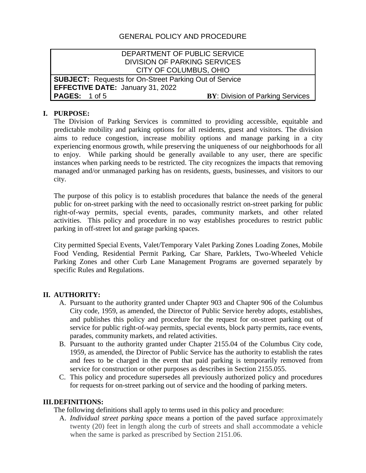# GENERAL POLICY AND PROCEDURE

## DEPARTMENT OF PUBLIC SERVICE DIVISION OF PARKING SERVICES CITY OF COLUMBUS, OHIO

**SUBJECT:** Requests for On-Street Parking Out of Service **EFFECTIVE DATE:** January 31, 2022 **PAGES:** 1 of 5 **BY: Division of Parking Services** 

### **I. PURPOSE:**

The Division of Parking Services is committed to providing accessible, equitable and predictable mobility and parking options for all residents, guest and visitors. The division aims to reduce congestion, increase mobility options and manage parking in a city experiencing enormous growth, while preserving the uniqueness of our neighborhoods for all to enjoy. While parking should be generally available to any user, there are specific instances when parking needs to be restricted. The city recognizes the impacts that removing managed and/or unmanaged parking has on residents, guests, businesses, and visitors to our city.

The purpose of this policy is to establish procedures that balance the needs of the general public for on-street parking with the need to occasionally restrict on-street parking for public right-of-way permits, special events, parades, community markets, and other related activities. This policy and procedure in no way establishes procedures to restrict public parking in off-street lot and garage parking spaces.

City permitted Special Events, Valet/Temporary Valet Parking Zones Loading Zones, Mobile Food Vending, Residential Permit Parking, Car Share, Parklets, Two-Wheeled Vehicle Parking Zones and other Curb Lane Management Programs are governed separately by specific Rules and Regulations.

#### **II. AUTHORITY:**

- A. Pursuant to the authority granted under Chapter 903 and Chapter 906 of the Columbus City code, 1959, as amended, the Director of Public Service hereby adopts, establishes, and publishes this policy and procedure for the request for on-street parking out of service for public right-of-way permits, special events, block party permits, race events, parades, community markets, and related activities.
- B. Pursuant to the authority granted under Chapter 2155.04 of the Columbus City code, 1959, as amended, the Director of Public Service has the authority to establish the rates and fees to be charged in the event that paid parking is temporarily removed from service for construction or other purposes as describes in Section 2155.055.
- C. This policy and procedure supersedes all previously authorized policy and procedures for requests for on-street parking out of service and the hooding of parking meters.

#### **III.DEFINITIONS:**

The following definitions shall apply to terms used in this policy and procedure:

A. *Individual street parking space* means a portion of the paved surface approximately twenty (20) feet in length along the curb of streets and shall accommodate a vehicle when the same is parked as prescribed by Section 2151.06.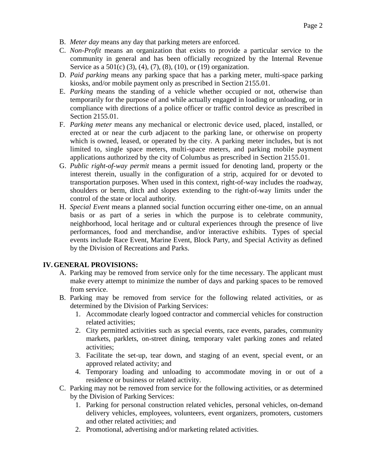- B. *Meter day* means any day that parking meters are enforced.
- C. *Non-Profit* means an organization that exists to provide a particular service to the community in general and has been officially recognized by the Internal Revenue Service as a 501(c) (3), (4), (7), (8), (10), or (19) organization.
- D. *Paid parking* means any parking space that has a parking meter, multi-space parking kiosks, and/or mobile payment only as prescribed in Section 2155.01.
- E. *Parking* means the standing of a vehicle whether occupied or not, otherwise than temporarily for the purpose of and while actually engaged in loading or unloading, or in compliance with directions of a police officer or traffic control device as prescribed in Section 2155.01.
- F. *Parking meter* means any mechanical or electronic device used, placed, installed, or erected at or near the curb adjacent to the parking lane, or otherwise on property which is owned, leased, or operated by the city. A parking meter includes, but is not limited to, single space meters, multi-space meters, and parking mobile payment applications authorized by the city of Columbus as prescribed in Section 2155.01.
- G. *Public right-of-way permit* means a permit issued for denoting land, property or the interest therein, usually in the configuration of a strip, acquired for or devoted to transportation purposes. When used in this context, right-of-way includes the roadway, shoulders or berm, ditch and slopes extending to the right-of-way limits under the control of the state or local authority.
- H. *Special Event* means a planned social function occurring either one-time, on an annual basis or as part of a series in which the purpose is to celebrate community, neighborhood, local heritage and or cultural experiences through the presence of live performances, food and merchandise, and/or interactive exhibits. Types of special events include Race Event, Marine Event, Block Party, and Special Activity as defined by the Division of Recreations and Parks.

## **IV.GENERAL PROVISIONS:**

- A. Parking may be removed from service only for the time necessary. The applicant must make every attempt to minimize the number of days and parking spaces to be removed from service.
- B. Parking may be removed from service for the following related activities, or as determined by the Division of Parking Services:
	- 1. Accommodate clearly logoed contractor and commercial vehicles for construction related activities;
	- 2. City permitted activities such as special events, race events, parades, community markets, parklets, on-street dining, temporary valet parking zones and related activities;
	- 3. Facilitate the set-up, tear down, and staging of an event, special event, or an approved related activity; and
	- 4. Temporary loading and unloading to accommodate moving in or out of a residence or business or related activity.
- C. Parking may not be removed from service for the following activities, or as determined by the Division of Parking Services:
	- 1. Parking for personal construction related vehicles, personal vehicles, on-demand delivery vehicles, employees, volunteers, event organizers, promoters, customers and other related activities; and
	- 2. Promotional, advertising and/or marketing related activities.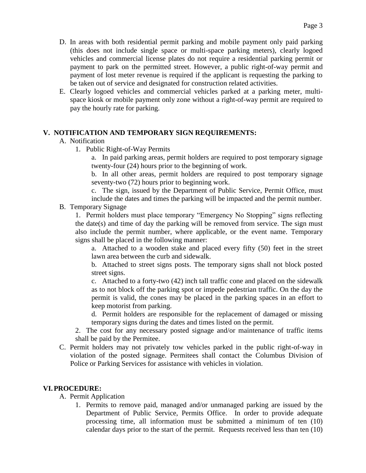- D. In areas with both residential permit parking and mobile payment only paid parking (this does not include single space or multi-space parking meters), clearly logoed vehicles and commercial license plates do not require a residential parking permit or payment to park on the permitted street. However, a public right-of-way permit and payment of lost meter revenue is required if the applicant is requesting the parking to be taken out of service and designated for construction related activities.
- E. Clearly logoed vehicles and commercial vehicles parked at a parking meter, multispace kiosk or mobile payment only zone without a right-of-way permit are required to pay the hourly rate for parking.

### **V. NOTIFICATION AND TEMPORARY SIGN REQUIREMENTS:**

### A. Notification

1. Public Right-of-Way Permits

a. In paid parking areas, permit holders are required to post temporary signage twenty-four (24) hours prior to the beginning of work.

b. In all other areas, permit holders are required to post temporary signage seventy-two (72) hours prior to beginning work.

c. The sign, issued by the Department of Public Service, Permit Office, must include the dates and times the parking will be impacted and the permit number.

#### B. Temporary Signage

1. Permit holders must place temporary "Emergency No Stopping" signs reflecting the date(s) and time of day the parking will be removed from service. The sign must also include the permit number, where applicable, or the event name. Temporary signs shall be placed in the following manner:

a. Attached to a wooden stake and placed every fifty (50) feet in the street lawn area between the curb and sidewalk.

b. Attached to street signs posts. The temporary signs shall not block posted street signs.

c. Attached to a forty-two (42) inch tall traffic cone and placed on the sidewalk as to not block off the parking spot or impede pedestrian traffic. On the day the permit is valid, the cones may be placed in the parking spaces in an effort to keep motorist from parking.

d. Permit holders are responsible for the replacement of damaged or missing temporary signs during the dates and times listed on the permit.

2. The cost for any necessary posted signage and/or maintenance of traffic items shall be paid by the Permitee.

C. Permit holders may not privately tow vehicles parked in the public right-of-way in violation of the posted signage. Permitees shall contact the Columbus Division of Police or Parking Services for assistance with vehicles in violation.

## **VI.PROCEDURE:**

- A. Permit Application
	- 1. Permits to remove paid, managed and/or unmanaged parking are issued by the Department of Public Service, Permits Office. In order to provide adequate processing time, all information must be submitted a minimum of ten (10) calendar days prior to the start of the permit. Requests received less than ten (10)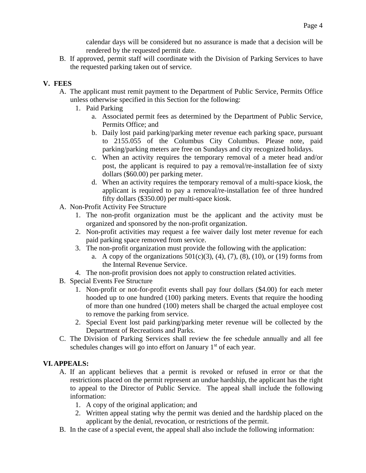calendar days will be considered but no assurance is made that a decision will be rendered by the requested permit date.

B. If approved, permit staff will coordinate with the Division of Parking Services to have the requested parking taken out of service.

# **V. FEES**

- A. The applicant must remit payment to the Department of Public Service, Permits Office unless otherwise specified in this Section for the following:
	- 1. Paid Parking
		- a. Associated permit fees as determined by the Department of Public Service, Permits Office; and
		- b. Daily lost paid parking/parking meter revenue each parking space, pursuant to 2155.055 of the Columbus City Columbus. Please note, paid parking/parking meters are free on Sundays and city recognized holidays.
		- c. When an activity requires the temporary removal of a meter head and/or post, the applicant is required to pay a removal/re-installation fee of sixty dollars (\$60.00) per parking meter.
		- d. When an activity requires the temporary removal of a multi-space kiosk, the applicant is required to pay a removal/re-installation fee of three hundred fifty dollars (\$350.00) per multi-space kiosk.
- A. Non-Profit Activity Fee Structure
	- 1. The non-profit organization must be the applicant and the activity must be organized and sponsored by the non-profit organization.
	- 2. Non-profit activities may request a fee waiver daily lost meter revenue for each paid parking space removed from service.
	- 3. The non-profit organization must provide the following with the application:
		- a. A copy of the organizations  $501(c)(3)$ ,  $(4)$ ,  $(7)$ ,  $(8)$ ,  $(10)$ , or  $(19)$  forms from the Internal Revenue Service.
	- 4. The non-profit provision does not apply to construction related activities.
- B. Special Events Fee Structure
	- 1. Non-profit or not-for-profit events shall pay four dollars (\$4.00) for each meter hooded up to one hundred (100) parking meters. Events that require the hooding of more than one hundred (100) meters shall be charged the actual employee cost to remove the parking from service.
	- 2. Special Event lost paid parking/parking meter revenue will be collected by the Department of Recreations and Parks.
- C. The Division of Parking Services shall review the fee schedule annually and all fee schedules changes will go into effort on January 1<sup>st</sup> of each year.

# **VI.APPEALS:**

- A. If an applicant believes that a permit is revoked or refused in error or that the restrictions placed on the permit represent an undue hardship, the applicant has the right to appeal to the Director of Public Service. The appeal shall include the following information:
	- 1. A copy of the original application; and
	- 2. Written appeal stating why the permit was denied and the hardship placed on the applicant by the denial, revocation, or restrictions of the permit.
- B. In the case of a special event, the appeal shall also include the following information: